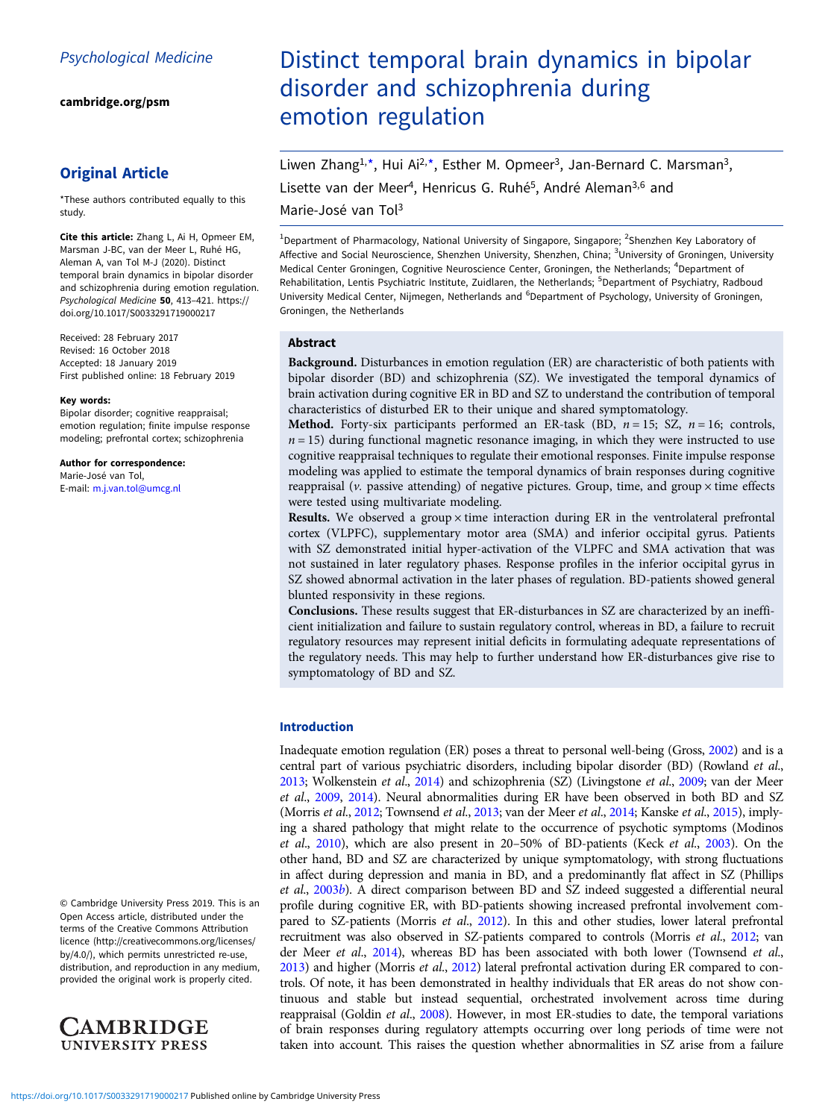[cambridge.org/psm](https://www.cambridge.org/psm)

# Original Article

\*These authors contributed equally to this study.

Cite this article: Zhang L, Ai H, Opmeer EM, Marsman J-BC, van der Meer L, Ruhé HG, Aleman A, van Tol M-J (2020). Distinct temporal brain dynamics in bipolar disorder and schizophrenia during emotion regulation. Psychological Medicine 50, 413–421. [https://](https://doi.org/10.1017/S0033291719000217) [doi.org/10.1017/S0033291719000217](https://doi.org/10.1017/S0033291719000217)

Received: 28 February 2017 Revised: 16 October 2018 Accepted: 18 January 2019 First published online: 18 February 2019

#### Key words:

Bipolar disorder; cognitive reappraisal; emotion regulation; finite impulse response modeling; prefrontal cortex; schizophrenia

Author for correspondence:

Marie-José van Tol, E-mail: [m.j.van.tol@umcg.nl](mailto:m.j.van.tol@umcg.nl)

© Cambridge University Press 2019. This is an Open Access article, distributed under the terms of the Creative Commons Attribution licence (http://creativecommons.org/licenses/ by/4.0/), which permits unrestricted re-use, distribution, and reproduction in any medium, provided the original work is properly cited.



# Distinct temporal brain dynamics in bipolar disorder and schizophrenia during emotion regulation

Liwen Zhang<sup>1,\*</sup>, Hui Ai<sup>2,\*</sup>, Esther M. Opmeer<sup>3</sup>, Jan-Bernard C. Marsman<sup>3</sup>, Lisette van der Meer<sup>4</sup>, Henricus G. Ruhé<sup>5</sup>, André Aleman<sup>3,6</sup> and

Marie-José van Tol3

<sup>1</sup>Department of Pharmacology, National University of Singapore, Singapore; <sup>2</sup>Shenzhen Key Laboratory of Affective and Social Neuroscience, Shenzhen University, Shenzhen, China; <sup>3</sup>University of Groningen, University Medical Center Groningen, Cognitive Neuroscience Center, Groningen, the Netherlands; <sup>4</sup>Department of Rehabilitation, Lentis Psychiatric Institute, Zuidlaren, the Netherlands; <sup>5</sup>Department of Psychiatry, Radboud University Medical Center, Nijmegen, Netherlands and <sup>6</sup>Department of Psychology, University of Groningen, Groningen, the Netherlands

# Abstract

Background. Disturbances in emotion regulation (ER) are characteristic of both patients with bipolar disorder (BD) and schizophrenia (SZ). We investigated the temporal dynamics of brain activation during cognitive ER in BD and SZ to understand the contribution of temporal characteristics of disturbed ER to their unique and shared symptomatology.

**Method.** Forty-six participants performed an ER-task (BD,  $n = 15$ ; SZ,  $n = 16$ ; controls,  $n = 15$ ) during functional magnetic resonance imaging, in which they were instructed to use cognitive reappraisal techniques to regulate their emotional responses. Finite impulse response modeling was applied to estimate the temporal dynamics of brain responses during cognitive reappraisal ( $\nu$ . passive attending) of negative pictures. Group, time, and group  $\times$  time effects were tested using multivariate modeling.

**Results.** We observed a group  $\times$  time interaction during ER in the ventrolateral prefrontal cortex (VLPFC), supplementary motor area (SMA) and inferior occipital gyrus. Patients with SZ demonstrated initial hyper-activation of the VLPFC and SMA activation that was not sustained in later regulatory phases. Response profiles in the inferior occipital gyrus in SZ showed abnormal activation in the later phases of regulation. BD-patients showed general blunted responsivity in these regions.

Conclusions. These results suggest that ER-disturbances in SZ are characterized by an inefficient initialization and failure to sustain regulatory control, whereas in BD, a failure to recruit regulatory resources may represent initial deficits in formulating adequate representations of the regulatory needs. This may help to further understand how ER-disturbances give rise to symptomatology of BD and SZ.

# Introduction

Inadequate emotion regulation (ER) poses a threat to personal well-being (Gross, [2002](#page-7-0)) and is a central part of various psychiatric disorders, including bipolar disorder (BD) (Rowland et al., [2013](#page-8-0); Wolkenstein et al., [2014\)](#page-8-0) and schizophrenia (SZ) (Livingstone et al., [2009](#page-7-0); van der Meer et al., [2009](#page-8-0), [2014\)](#page-8-0). Neural abnormalities during ER have been observed in both BD and SZ (Morris et al., [2012](#page-8-0); Townsend et al., [2013;](#page-8-0) van der Meer et al., [2014;](#page-8-0) Kanske et al., [2015](#page-7-0)), implying a shared pathology that might relate to the occurrence of psychotic symptoms (Modinos et al., [2010\)](#page-7-0), which are also present in 20–50% of BD-patients (Keck et al., [2003](#page-7-0)). On the other hand, BD and SZ are characterized by unique symptomatology, with strong fluctuations in affect during depression and mania in BD, and a predominantly flat affect in SZ (Phillips et al., [2003](#page-8-0)b). A direct comparison between BD and SZ indeed suggested a differential neural profile during cognitive ER, with BD-patients showing increased prefrontal involvement com-pared to SZ-patients (Morris et al., [2012\)](#page-8-0). In this and other studies, lower lateral prefrontal recruitment was also observed in SZ-patients compared to controls (Morris et al., [2012](#page-8-0); van der Meer et al., [2014\)](#page-8-0), whereas BD has been associated with both lower (Townsend et al., [2013](#page-8-0)) and higher (Morris et al., [2012](#page-8-0)) lateral prefrontal activation during ER compared to controls. Of note, it has been demonstrated in healthy individuals that ER areas do not show continuous and stable but instead sequential, orchestrated involvement across time during reappraisal (Goldin et al., [2008](#page-7-0)). However, in most ER-studies to date, the temporal variations of brain responses during regulatory attempts occurring over long periods of time were not taken into account. This raises the question whether abnormalities in SZ arise from a failure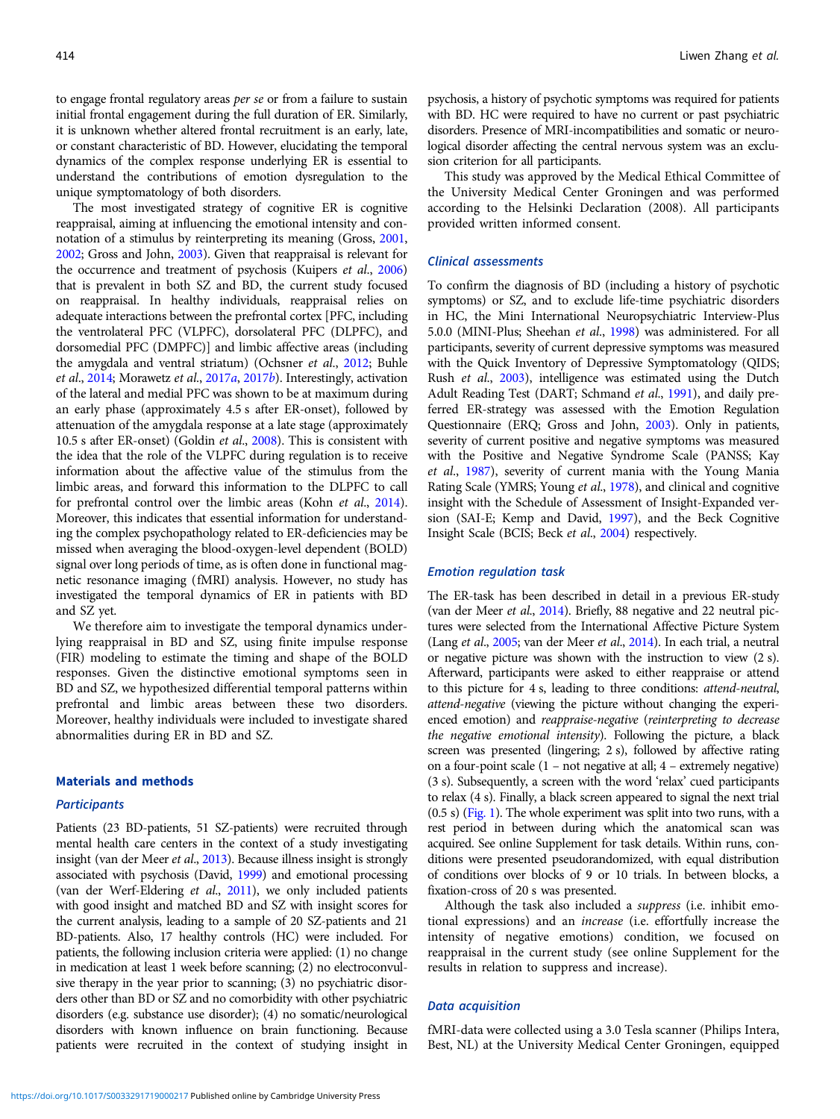to engage frontal regulatory areas per se or from a failure to sustain initial frontal engagement during the full duration of ER. Similarly, it is unknown whether altered frontal recruitment is an early, late, or constant characteristic of BD. However, elucidating the temporal dynamics of the complex response underlying ER is essential to understand the contributions of emotion dysregulation to the unique symptomatology of both disorders.

The most investigated strategy of cognitive ER is cognitive reappraisal, aiming at influencing the emotional intensity and connotation of a stimulus by reinterpreting its meaning (Gross, [2001](#page-7-0), [2002;](#page-7-0) Gross and John, [2003\)](#page-7-0). Given that reappraisal is relevant for the occurrence and treatment of psychosis (Kuipers et al., [2006\)](#page-7-0) that is prevalent in both SZ and BD, the current study focused on reappraisal. In healthy individuals, reappraisal relies on adequate interactions between the prefrontal cortex [PFC, including the ventrolateral PFC (VLPFC), dorsolateral PFC (DLPFC), and dorsomedial PFC (DMPFC)] and limbic affective areas (including the amygdala and ventral striatum) (Ochsner et al., [2012;](#page-8-0) Buhle et al., [2014;](#page-7-0) Morawetz et al., [2017](#page-7-0)[a](#page-7-0), [2017](#page-8-0)[b](#page-8-0)). Interestingly, activation of the lateral and medial PFC was shown to be at maximum during an early phase (approximately 4.5 s after ER-onset), followed by attenuation of the amygdala response at a late stage (approximately 10.5 s after ER-onset) (Goldin et al., [2008](#page-7-0)). This is consistent with the idea that the role of the VLPFC during regulation is to receive information about the affective value of the stimulus from the limbic areas, and forward this information to the DLPFC to call for prefrontal control over the limbic areas (Kohn *et al.*, [2014\)](#page-7-0). Moreover, this indicates that essential information for understanding the complex psychopathology related to ER-deficiencies may be missed when averaging the blood-oxygen-level dependent (BOLD) signal over long periods of time, as is often done in functional magnetic resonance imaging (fMRI) analysis. However, no study has investigated the temporal dynamics of ER in patients with BD and SZ yet.

We therefore aim to investigate the temporal dynamics underlying reappraisal in BD and SZ, using finite impulse response (FIR) modeling to estimate the timing and shape of the BOLD responses. Given the distinctive emotional symptoms seen in BD and SZ, we hypothesized differential temporal patterns within prefrontal and limbic areas between these two disorders. Moreover, healthy individuals were included to investigate shared abnormalities during ER in BD and SZ.

#### Materials and methods

# **Participants**

Patients (23 BD-patients, 51 SZ-patients) were recruited through mental health care centers in the context of a study investigating insight (van der Meer et al., [2013](#page-8-0)). Because illness insight is strongly associated with psychosis (David, [1999\)](#page-7-0) and emotional processing (van der Werf-Eldering et al., [2011\)](#page-8-0), we only included patients with good insight and matched BD and SZ with insight scores for the current analysis, leading to a sample of 20 SZ-patients and 21 BD-patients. Also, 17 healthy controls (HC) were included. For patients, the following inclusion criteria were applied: (1) no change in medication at least 1 week before scanning; (2) no electroconvulsive therapy in the year prior to scanning; (3) no psychiatric disorders other than BD or SZ and no comorbidity with other psychiatric disorders (e.g. substance use disorder); (4) no somatic/neurological disorders with known influence on brain functioning. Because patients were recruited in the context of studying insight in

psychosis, a history of psychotic symptoms was required for patients with BD. HC were required to have no current or past psychiatric disorders. Presence of MRI-incompatibilities and somatic or neurological disorder affecting the central nervous system was an exclusion criterion for all participants.

This study was approved by the Medical Ethical Committee of the University Medical Center Groningen and was performed according to the Helsinki Declaration (2008). All participants provided written informed consent.

# Clinical assessments

To confirm the diagnosis of BD (including a history of psychotic symptoms) or SZ, and to exclude life-time psychiatric disorders in HC, the Mini International Neuropsychiatric Interview-Plus 5.0.0 (MINI-Plus; Sheehan et al., [1998](#page-8-0)) was administered. For all participants, severity of current depressive symptoms was measured with the Quick Inventory of Depressive Symptomatology (QIDS; Rush et al., [2003](#page-8-0)), intelligence was estimated using the Dutch Adult Reading Test (DART; Schmand et al., [1991](#page-8-0)), and daily preferred ER-strategy was assessed with the Emotion Regulation Questionnaire (ERQ; Gross and John, [2003\)](#page-7-0). Only in patients, severity of current positive and negative symptoms was measured with the Positive and Negative Syndrome Scale (PANSS; Kay et al., [1987\)](#page-7-0), severity of current mania with the Young Mania Rating Scale (YMRS; Young et al., [1978\)](#page-8-0), and clinical and cognitive insight with the Schedule of Assessment of Insight-Expanded version (SAI-E; Kemp and David, [1997](#page-7-0)), and the Beck Cognitive Insight Scale (BCIS; Beck et al., [2004](#page-7-0)) respectively.

#### Emotion regulation task

The ER-task has been described in detail in a previous ER-study (van der Meer et al., [2014](#page-8-0)). Briefly, 88 negative and 22 neutral pictures were selected from the International Affective Picture System (Lang et al., [2005;](#page-7-0) van der Meer et al., [2014\)](#page-8-0). In each trial, a neutral or negative picture was shown with the instruction to view (2 s). Afterward, participants were asked to either reappraise or attend to this picture for 4 s, leading to three conditions: attend-neutral, attend-negative (viewing the picture without changing the experienced emotion) and reappraise-negative (reinterpreting to decrease the negative emotional intensity). Following the picture, a black screen was presented (lingering; 2 s), followed by affective rating on a four-point scale (1 – not negative at all; 4 – extremely negative) (3 s). Subsequently, a screen with the word 'relax' cued participants to relax (4 s). Finally, a black screen appeared to signal the next trial (0.5 s) [\(Fig. 1](#page-2-0)). The whole experiment was split into two runs, with a rest period in between during which the anatomical scan was acquired. See online Supplement for task details. Within runs, conditions were presented pseudorandomized, with equal distribution of conditions over blocks of 9 or 10 trials. In between blocks, a fixation-cross of 20 s was presented.

Although the task also included a suppress (i.e. inhibit emotional expressions) and an increase (i.e. effortfully increase the intensity of negative emotions) condition, we focused on reappraisal in the current study (see online Supplement for the results in relation to suppress and increase).

# Data acquisition

fMRI-data were collected using a 3.0 Tesla scanner (Philips Intera, Best, NL) at the University Medical Center Groningen, equipped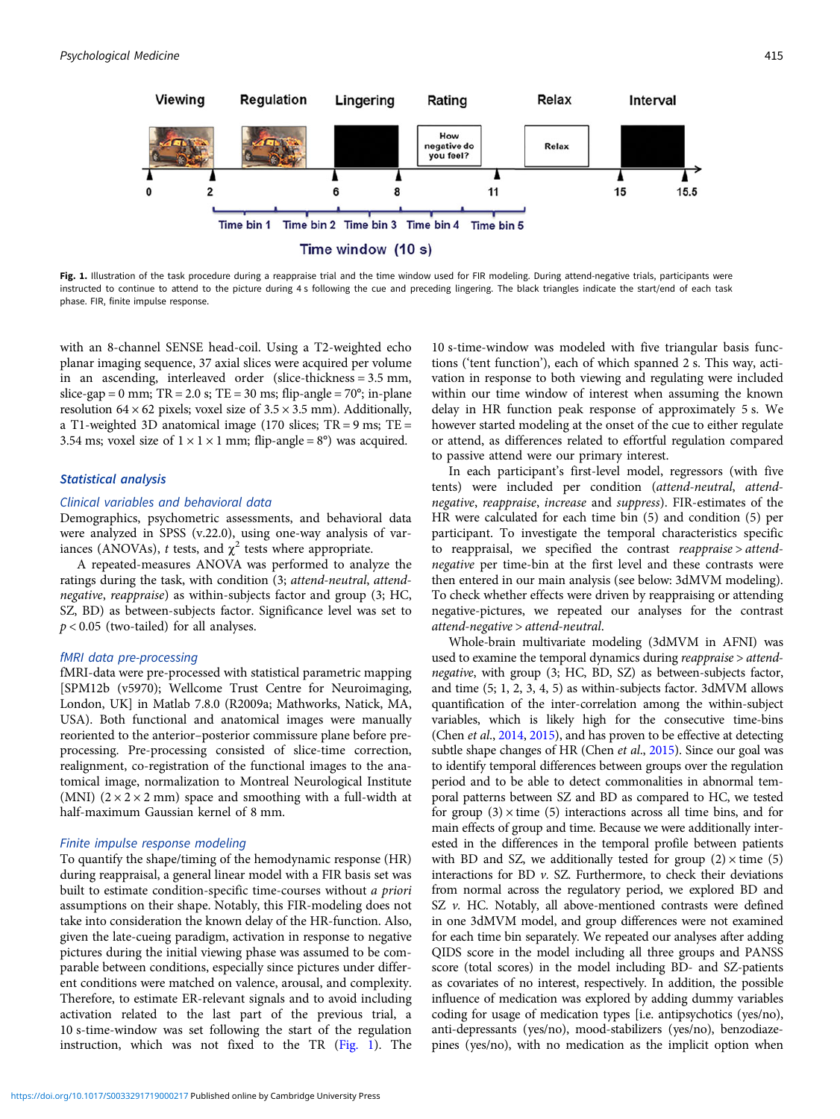<span id="page-2-0"></span>

Fig. 1. Illustration of the task procedure during a reappraise trial and the time window used for FIR modeling. During attend-negative trials, participants were instructed to continue to attend to the picture during 4 s following the cue and preceding lingering. The black triangles indicate the start/end of each task phase. FIR, finite impulse response.

with an 8-channel SENSE head-coil. Using a T2-weighted echo planar imaging sequence, 37 axial slices were acquired per volume in an ascending, interleaved order (slice-thickness = 3.5 mm, slice-gap = 0 mm;  $TR = 2.0$  s;  $TE = 30$  ms; flip-angle =  $70^{\circ}$ ; in-plane resolution  $64 \times 62$  pixels; voxel size of  $3.5 \times 3.5$  mm). Additionally, a T1-weighted 3D anatomical image (170 slices; TR = 9 ms; TE = 3.54 ms; voxel size of  $1 \times 1 \times 1$  mm; flip-angle = 8°) was acquired.

#### Statistical analysis

#### Clinical variables and behavioral data

Demographics, psychometric assessments, and behavioral data were analyzed in SPSS (v.22.0), using one-way analysis of variances (ANOVAs), t tests, and  $\chi^2$  tests where appropriate.

A repeated-measures ANOVA was performed to analyze the ratings during the task, with condition (3; attend-neutral, attendnegative, reappraise) as within-subjects factor and group (3; HC, SZ, BD) as between-subjects factor. Significance level was set to  $p < 0.05$  (two-tailed) for all analyses.

#### fMRI data pre-processing

fMRI-data were pre-processed with statistical parametric mapping [SPM12b (v5970); Wellcome Trust Centre for Neuroimaging, London, UK] in Matlab 7.8.0 (R2009a; Mathworks, Natick, MA, USA). Both functional and anatomical images were manually reoriented to the anterior–posterior commissure plane before preprocessing. Pre-processing consisted of slice-time correction, realignment, co-registration of the functional images to the anatomical image, normalization to Montreal Neurological Institute (MNI)  $(2 \times 2 \times 2 \text{ mm})$  space and smoothing with a full-width at half-maximum Gaussian kernel of 8 mm.

#### Finite impulse response modeling

To quantify the shape/timing of the hemodynamic response (HR) during reappraisal, a general linear model with a FIR basis set was built to estimate condition-specific time-courses without a priori assumptions on their shape. Notably, this FIR-modeling does not take into consideration the known delay of the HR-function. Also, given the late-cueing paradigm, activation in response to negative pictures during the initial viewing phase was assumed to be comparable between conditions, especially since pictures under different conditions were matched on valence, arousal, and complexity. Therefore, to estimate ER-relevant signals and to avoid including activation related to the last part of the previous trial, a 10 s-time-window was set following the start of the regulation instruction, which was not fixed to the TR (Fig. 1). The

10 s-time-window was modeled with five triangular basis functions ('tent function'), each of which spanned 2 s. This way, activation in response to both viewing and regulating were included within our time window of interest when assuming the known delay in HR function peak response of approximately 5 s. We however started modeling at the onset of the cue to either regulate or attend, as differences related to effortful regulation compared to passive attend were our primary interest.

In each participant's first-level model, regressors (with five tents) were included per condition (attend-neutral, attendnegative, reappraise, increase and suppress). FIR-estimates of the HR were calculated for each time bin (5) and condition (5) per participant. To investigate the temporal characteristics specific to reappraisal, we specified the contrast reappraise > attendnegative per time-bin at the first level and these contrasts were then entered in our main analysis (see below: 3dMVM modeling). To check whether effects were driven by reappraising or attending negative-pictures, we repeated our analyses for the contrast attend-negative > attend-neutral.

Whole-brain multivariate modeling (3dMVM in AFNI) was used to examine the temporal dynamics during reappraise > attendnegative, with group (3; HC, BD, SZ) as between-subjects factor, and time (5; 1, 2, 3, 4, 5) as within-subjects factor. 3dMVM allows quantification of the inter-correlation among the within-subject variables, which is likely high for the consecutive time-bins (Chen et al., [2014](#page-7-0), [2015\)](#page-7-0), and has proven to be effective at detecting subtle shape changes of HR (Chen et al., [2015](#page-7-0)). Since our goal was to identify temporal differences between groups over the regulation period and to be able to detect commonalities in abnormal temporal patterns between SZ and BD as compared to HC, we tested for group  $(3) \times$  time  $(5)$  interactions across all time bins, and for main effects of group and time. Because we were additionally interested in the differences in the temporal profile between patients with BD and SZ, we additionally tested for group  $(2) \times$  time  $(5)$ interactions for BD  $\nu$ . SZ. Furthermore, to check their deviations from normal across the regulatory period, we explored BD and SZ  $v$ . HC. Notably, all above-mentioned contrasts were defined in one 3dMVM model, and group differences were not examined for each time bin separately. We repeated our analyses after adding QIDS score in the model including all three groups and PANSS score (total scores) in the model including BD- and SZ-patients as covariates of no interest, respectively. In addition, the possible influence of medication was explored by adding dummy variables coding for usage of medication types [i.e. antipsychotics (yes/no), anti-depressants (yes/no), mood-stabilizers (yes/no), benzodiazepines (yes/no), with no medication as the implicit option when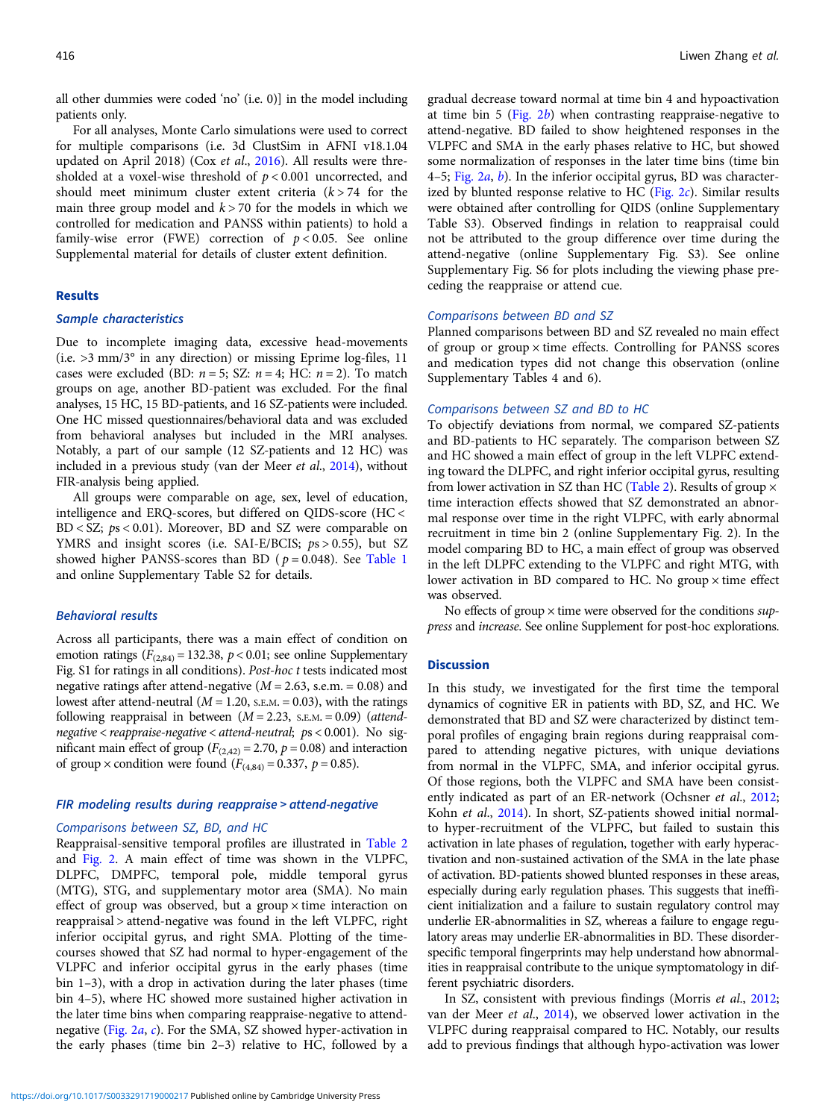all other dummies were coded 'no' (i.e. 0)] in the model including patients only.

For all analyses, Monte Carlo simulations were used to correct for multiple comparisons (i.e. 3d ClustSim in AFNI v18.1.04 updated on April 2018) (Cox et al., [2016\)](#page-7-0). All results were thresholded at a voxel-wise threshold of  $p < 0.001$  uncorrected, and should meet minimum cluster extent criteria  $(k > 74$  for the main three group model and  $k > 70$  for the models in which we controlled for medication and PANSS within patients) to hold a family-wise error (FWE) correction of  $p < 0.05$ . See online Supplemental material for details of cluster extent definition.

# Results

#### Sample characteristics

Due to incomplete imaging data, excessive head-movements (i.e. >3 mm/3° in any direction) or missing Eprime log-files, 11 cases were excluded (BD:  $n = 5$ ; SZ:  $n = 4$ ; HC:  $n = 2$ ). To match groups on age, another BD-patient was excluded. For the final analyses, 15 HC, 15 BD-patients, and 16 SZ-patients were included. One HC missed questionnaires/behavioral data and was excluded from behavioral analyses but included in the MRI analyses. Notably, a part of our sample (12 SZ-patients and 12 HC) was included in a previous study (van der Meer et al., [2014\)](#page-8-0), without FIR-analysis being applied.

All groups were comparable on age, sex, level of education, intelligence and ERQ-scores, but differed on QIDS-score (HC <  $BD < SZ$ ;  $ps < 0.01$ ). Moreover, BD and SZ were comparable on YMRS and insight scores (i.e. SAI-E/BCIS;  $ps > 0.55$ ), but SZ showed higher PANSS-scores than BD ( $p = 0.048$ ). See [Table 1](#page-4-0) and online Supplementary Table S2 for details.

#### Behavioral results

Across all participants, there was a main effect of condition on emotion ratings ( $F_{(2,84)} = 132.38$ ,  $p < 0.01$ ; see online Supplementary Fig. S1 for ratings in all conditions). Post-hoc t tests indicated most negative ratings after attend-negative ( $M = 2.63$ , s.e.m. = 0.08) and lowest after attend-neutral ( $M = 1.20$ , s.e.m. = 0.03), with the ratings following reappraisal in between  $(M = 2.23, S.E.M. = 0.09)$  (attendnegative  $\langle$  reappraise-negative  $\langle$  attend-neutral; ps  $\langle 0.001 \rangle$ . No significant main effect of group ( $F_{(2,42)} = 2.70$ ,  $p = 0.08$ ) and interaction of group  $\times$  condition were found ( $F_{(4,84)} = 0.337$ ,  $p = 0.85$ ).

# FIR modeling results during reappraise > attend-negative

# Comparisons between SZ, BD, and HC

Reappraisal-sensitive temporal profiles are illustrated in [Table 2](#page-5-0) and [Fig. 2.](#page-6-0) A main effect of time was shown in the VLPFC, DLPFC, DMPFC, temporal pole, middle temporal gyrus (MTG), STG, and supplementary motor area (SMA). No main effect of group was observed, but a group  $\times$  time interaction on reappraisal > attend-negative was found in the left VLPFC, right inferior occipital gyrus, and right SMA. Plotting of the timecourses showed that SZ had normal to hyper-engagement of the VLPFC and inferior occipital gyrus in the early phases (time bin 1–3), with a drop in activation during the later phases (time bin 4–5), where HC showed more sustained higher activation in the later time bins when comparing reappraise-negative to attendnegative ([Fig. 2](#page-6-0)a, [c](#page-6-0)). For the SMA, SZ showed hyper-activation in the early phases (time bin 2–3) relative to HC, followed by a

gradual decrease toward normal at time bin 4 and hypoactivation at time bin 5 (Fig.  $2b$ ) when contrasting reappraise-negative to attend-negative. BD failed to show heightened responses in the VLPFC and SMA in the early phases relative to HC, but showed some normalization of responses in the later time bins (time bin 4–5; Fig.  $2a$ ,  $b$ ). In the inferior occipital gyrus, BD was characterized by blunted response relative to HC [\(Fig. 2](#page-6-0)c). Similar results were obtained after controlling for QIDS (online Supplementary Table S3). Observed findings in relation to reappraisal could not be attributed to the group difference over time during the attend-negative (online Supplementary Fig. S3). See online Supplementary Fig. S6 for plots including the viewing phase preceding the reappraise or attend cue.

#### Comparisons between BD and SZ

Planned comparisons between BD and SZ revealed no main effect of group or group × time effects. Controlling for PANSS scores and medication types did not change this observation (online Supplementary Tables 4 and 6).

#### Comparisons between SZ and BD to HC

To objectify deviations from normal, we compared SZ-patients and BD-patients to HC separately. The comparison between SZ and HC showed a main effect of group in the left VLPFC extending toward the DLPFC, and right inferior occipital gyrus, resulting from lower activation in SZ than HC ([Table 2\)](#page-5-0). Results of group  $\times$ time interaction effects showed that SZ demonstrated an abnormal response over time in the right VLPFC, with early abnormal recruitment in time bin 2 (online Supplementary Fig. 2). In the model comparing BD to HC, a main effect of group was observed in the left DLPFC extending to the VLPFC and right MTG, with lower activation in BD compared to HC. No group  $\times$  time effect was observed.

No effects of group  $\times$  time were observed for the conditions suppress and increase. See online Supplement for post-hoc explorations.

# **Discussion**

In this study, we investigated for the first time the temporal dynamics of cognitive ER in patients with BD, SZ, and HC. We demonstrated that BD and SZ were characterized by distinct temporal profiles of engaging brain regions during reappraisal compared to attending negative pictures, with unique deviations from normal in the VLPFC, SMA, and inferior occipital gyrus. Of those regions, both the VLPFC and SMA have been consist-ently indicated as part of an ER-network (Ochsner et al., [2012;](#page-8-0) Kohn et al., [2014](#page-7-0)). In short, SZ-patients showed initial normalto hyper-recruitment of the VLPFC, but failed to sustain this activation in late phases of regulation, together with early hyperactivation and non-sustained activation of the SMA in the late phase of activation. BD-patients showed blunted responses in these areas, especially during early regulation phases. This suggests that inefficient initialization and a failure to sustain regulatory control may underlie ER-abnormalities in SZ, whereas a failure to engage regulatory areas may underlie ER-abnormalities in BD. These disorderspecific temporal fingerprints may help understand how abnormalities in reappraisal contribute to the unique symptomatology in different psychiatric disorders.

In SZ, consistent with previous findings (Morris et al., [2012;](#page-8-0) van der Meer et al., [2014](#page-8-0)), we observed lower activation in the VLPFC during reappraisal compared to HC. Notably, our results add to previous findings that although hypo-activation was lower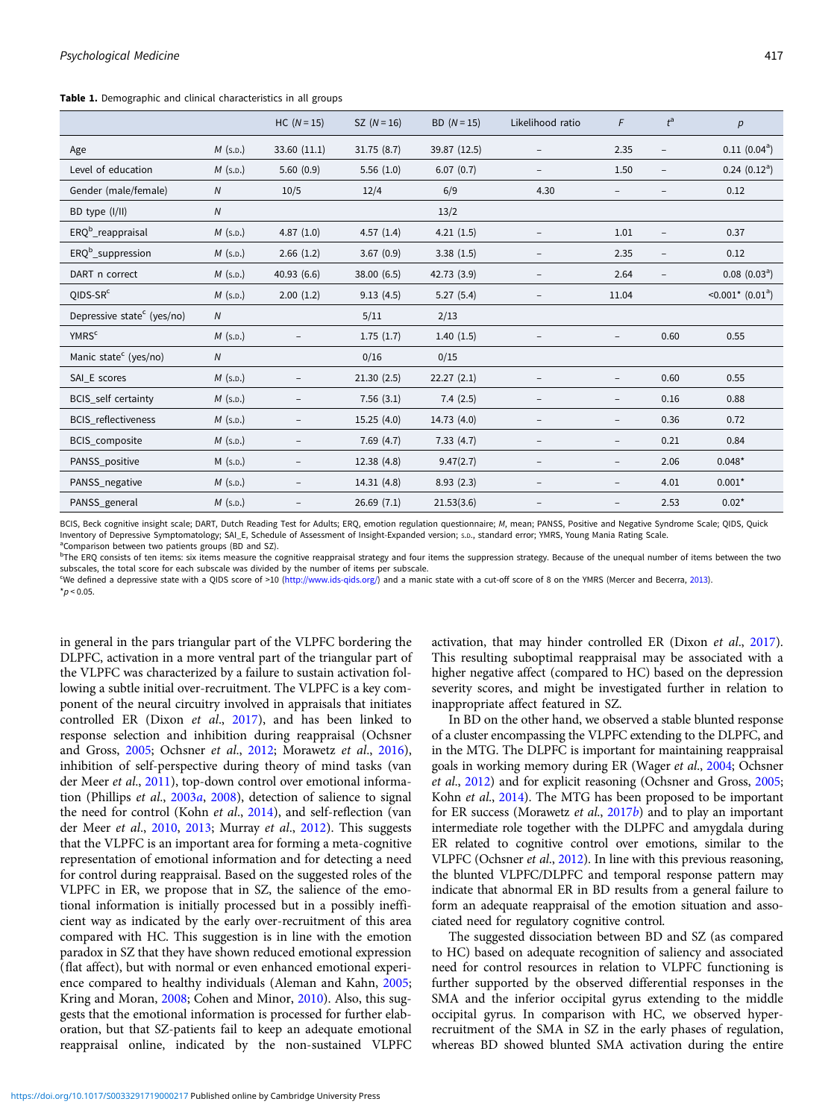<span id="page-4-0"></span>Table 1. Demographic and clinical characteristics in all groups

|                                        |                | $HC (N = 15)$     | $SZ (N = 16)$ | BD $(N=15)$  | Likelihood ratio         | F                        | $t^{\rm a}$              | p                                   |
|----------------------------------------|----------------|-------------------|---------------|--------------|--------------------------|--------------------------|--------------------------|-------------------------------------|
| Age                                    | $M$ (s.p.)     | 33.60 (11.1)      | 31.75(8.7)    | 39.87 (12.5) |                          | 2.35                     | $\overline{\phantom{0}}$ | $0.11(0.04^a)$                      |
| Level of education                     | $M$ (s.p.)     | 5.60(0.9)         | 5.56(1.0)     | 6.07(0.7)    |                          | 1.50                     | $\qquad \qquad -$        | $0.24$ $(0.12^a)$                   |
| Gender (male/female)                   | $\overline{N}$ | 10/5              | 12/4          | 6/9          | 4.30                     |                          |                          | 0.12                                |
| BD type (I/II)                         | $\overline{N}$ |                   |               | 13/2         |                          |                          |                          |                                     |
| ERQ <sup>b</sup> _reappraisal          | $M$ (s.p.)     | 4.87(1.0)         | 4.57(1.4)     | 4.21(1.5)    |                          | 1.01                     | $\qquad \qquad -$        | 0.37                                |
| $ERQb$ _suppression                    | $M$ (s.p.)     | 2.66(1.2)         | 3.67(0.9)     | 3.38(1.5)    | -                        | 2.35                     | $\overline{\phantom{a}}$ | 0.12                                |
| DART n correct                         | $M$ (s.p.)     | 40.93 (6.6)       | 38.00 (6.5)   | 42.73 (3.9)  | $\qquad \qquad -$        | 2.64                     | $\overline{\phantom{0}}$ | $0.08$ $(0.03a)$                    |
| $QIDS-SRc$                             | $M$ (s.p.)     | 2.00(1.2)         | 9.13(4.5)     | 5.27(5.4)    | $\overline{\phantom{a}}$ | 11.04                    |                          | $\leq 0.001^*$ (0.01 <sup>a</sup> ) |
| Depressive state <sup>c</sup> (yes/no) | ${\cal N}$     |                   | 5/11          | 2/13         |                          |                          |                          |                                     |
| <b>YMRS<sup>c</sup></b>                | $M$ (s.p.)     |                   | 1.75(1.7)     | 1.40(1.5)    |                          |                          | 0.60                     | 0.55                                |
| Manic state <sup>c</sup> (yes/no)      | Ν              |                   | 0/16          | 0/15         |                          |                          |                          |                                     |
| SAI_E scores                           | $M$ (s.p.)     |                   | 21.30(2.5)    | 22.27(2.1)   |                          | $\overline{\phantom{a}}$ | 0.60                     | 0.55                                |
| BCIS_self certainty                    | $M$ (s.p.)     |                   | 7.56(3.1)     | 7.4(2.5)     | $\overline{\phantom{a}}$ | $\overline{\phantom{a}}$ | 0.16                     | 0.88                                |
| <b>BCIS</b> reflectiveness             | $M$ (s.p.)     |                   | 15.25(4.0)    | 14.73 (4.0)  |                          | $\overline{\phantom{m}}$ | 0.36                     | 0.72                                |
| <b>BCIS</b> composite                  | $M$ (s.p.)     |                   | 7.69(4.7)     | 7.33(4.7)    |                          | $\qquad \qquad -$        | 0.21                     | 0.84                                |
| PANSS_positive                         | $M$ (s.p.)     |                   | 12.38(4.8)    | 9.47(2.7)    |                          | $\overline{\phantom{m}}$ | 2.06                     | $0.048*$                            |
| PANSS_negative                         | $M$ (s.p.)     |                   | 14.31(4.8)    | 8.93(2.3)    |                          | $\overline{\phantom{a}}$ | 4.01                     | $0.001*$                            |
| PANSS_general                          | $M$ (s.p.)     | $\qquad \qquad -$ | 26.69(7.1)    | 21.53(3.6)   |                          | $\overline{\phantom{a}}$ | 2.53                     | $0.02*$                             |

BCIS, Beck cognitive insight scale; DART, Dutch Reading Test for Adults; ERQ, emotion regulation questionnaire; M, mean; PANSS, Positive and Negative Syndrome Scale; QIDS, Quick Inventory of Depressive Symptomatology; SAI E, Schedule of Assessment of Insight-Expanded version; s.D., standard error; YMRS, Young Mania Rating Scale <sup>a</sup>Comparison between two patients groups (BD and SZ).

<sup>b</sup>The ERQ consists of ten items: six items measure the cognitive reappraisal strategy and four items the suppression strategy. Because of the unequal number of items between the two subscales, the total score for each subscale was divided by the number of items per subscale.

<sup>c</sup>We defined a depressive state with a QIDS score of >10 ([http://www.ids-qids.org/\)](http://www.ids-qids.org/) and a manic state with a cut-off score of 8 on the YMRS (Mercer and Becerra, [2013](#page-7-0)).  $*_{D}$  < 0.05.

in general in the pars triangular part of the VLPFC bordering the DLPFC, activation in a more ventral part of the triangular part of the VLPFC was characterized by a failure to sustain activation following a subtle initial over-recruitment. The VLPFC is a key component of the neural circuitry involved in appraisals that initiates controlled ER (Dixon et al., [2017](#page-7-0)), and has been linked to response selection and inhibition during reappraisal (Ochsner and Gross, [2005](#page-8-0); Ochsner et al., [2012](#page-8-0); Morawetz et al., [2016\)](#page-7-0), inhibition of self-perspective during theory of mind tasks (van der Meer et al., [2011](#page-8-0)), top-down control over emotional information (Phillips et al., [2003](#page-8-0)a, [2008\)](#page-8-0), detection of salience to signal the need for control (Kohn et al., [2014](#page-7-0)), and self-reflection (van der Meer et al., [2010,](#page-8-0) [2013;](#page-8-0) Murray et al., [2012](#page-8-0)). This suggests that the VLPFC is an important area for forming a meta-cognitive representation of emotional information and for detecting a need for control during reappraisal. Based on the suggested roles of the VLPFC in ER, we propose that in SZ, the salience of the emotional information is initially processed but in a possibly inefficient way as indicated by the early over-recruitment of this area compared with HC. This suggestion is in line with the emotion paradox in SZ that they have shown reduced emotional expression (flat affect), but with normal or even enhanced emotional experience compared to healthy individuals (Aleman and Kahn, [2005;](#page-7-0) Kring and Moran, [2008;](#page-7-0) Cohen and Minor, [2010](#page-7-0)). Also, this suggests that the emotional information is processed for further elaboration, but that SZ-patients fail to keep an adequate emotional reappraisal online, indicated by the non-sustained VLPFC activation, that may hinder controlled ER (Dixon et al., [2017](#page-7-0)). This resulting suboptimal reappraisal may be associated with a higher negative affect (compared to HC) based on the depression severity scores, and might be investigated further in relation to inappropriate affect featured in SZ.

In BD on the other hand, we observed a stable blunted response of a cluster encompassing the VLPFC extending to the DLPFC, and in the MTG. The DLPFC is important for maintaining reappraisal goals in working memory during ER (Wager et al., [2004](#page-8-0); Ochsner et al., [2012\)](#page-8-0) and for explicit reasoning (Ochsner and Gross, [2005](#page-8-0); Kohn et al., [2014\)](#page-7-0). The MTG has been proposed to be important for ER success (Morawetz et al., [2017](#page-8-0)b) and to play an important intermediate role together with the DLPFC and amygdala during ER related to cognitive control over emotions, similar to the VLPFC (Ochsner et al., [2012\)](#page-8-0). In line with this previous reasoning, the blunted VLPFC/DLPFC and temporal response pattern may indicate that abnormal ER in BD results from a general failure to form an adequate reappraisal of the emotion situation and associated need for regulatory cognitive control.

The suggested dissociation between BD and SZ (as compared to HC) based on adequate recognition of saliency and associated need for control resources in relation to VLPFC functioning is further supported by the observed differential responses in the SMA and the inferior occipital gyrus extending to the middle occipital gyrus. In comparison with HC, we observed hyperrecruitment of the SMA in SZ in the early phases of regulation, whereas BD showed blunted SMA activation during the entire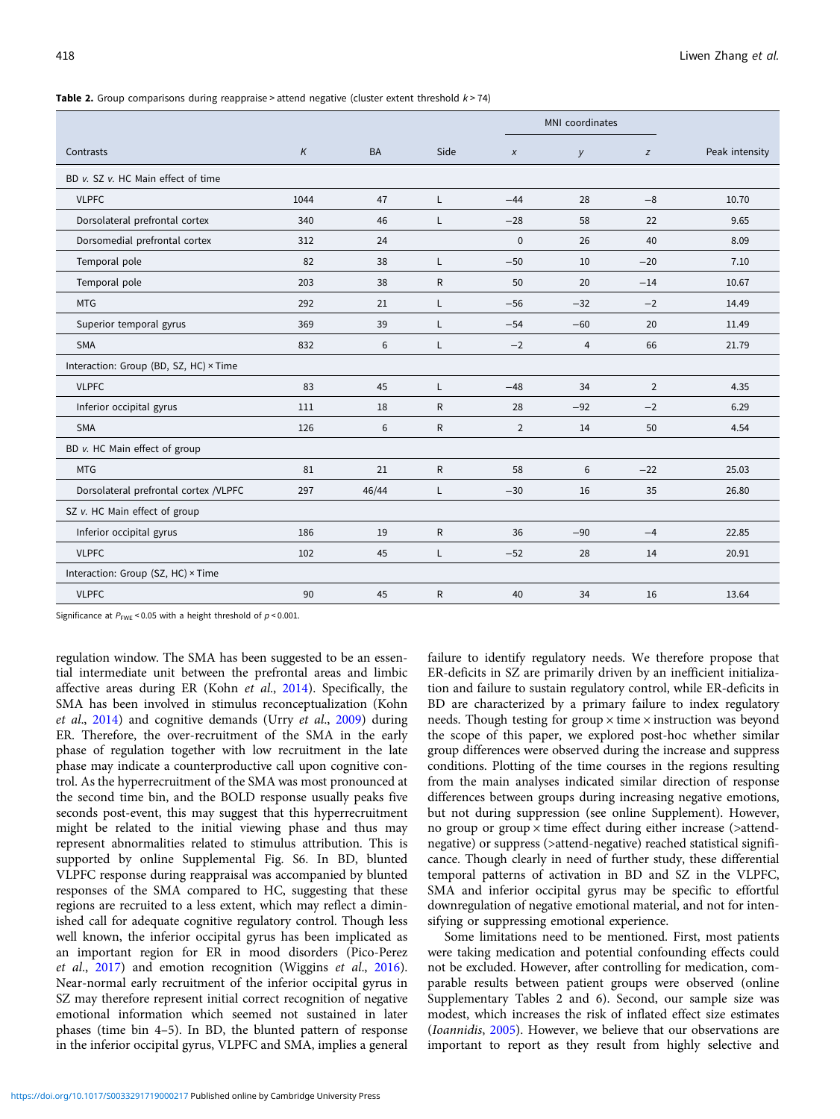<span id="page-5-0"></span>**Table 2.** Group comparisons during reappraise > attend negative (cluster extent threshold  $k > 74$ )

|                                        |          |           |              |                  | MNI coordinates |                |                |
|----------------------------------------|----------|-----------|--------------|------------------|-----------------|----------------|----------------|
| Contrasts                              | $\kappa$ | <b>BA</b> | Side         | $\boldsymbol{x}$ | y               | z              | Peak intensity |
| BD v. SZ v. HC Main effect of time     |          |           |              |                  |                 |                |                |
| <b>VLPFC</b>                           | 1044     | 47        | L            | $-44$            | 28              | $-8$           | 10.70          |
| Dorsolateral prefrontal cortex         | 340      | 46        | L            | $-28$            | 58              | 22             | 9.65           |
| Dorsomedial prefrontal cortex          | 312      | 24        |              | $\mathbf 0$      | 26              | 40             | 8.09           |
| Temporal pole                          | 82       | 38        | L            | $-50$            | 10              | $-20$          | 7.10           |
| Temporal pole                          | 203      | 38        | $\mathsf{R}$ | 50               | 20              | $-14$          | 10.67          |
| <b>MTG</b>                             | 292      | 21        | L            | $-56$            | $-32$           | $-2$           | 14.49          |
| Superior temporal gyrus                | 369      | 39        | L            | $-54$            | $-60$           | 20             | 11.49          |
| <b>SMA</b>                             | 832      | 6         | L            | $-2$             | $\overline{4}$  | 66             | 21.79          |
| Interaction: Group (BD, SZ, HC) × Time |          |           |              |                  |                 |                |                |
| <b>VLPFC</b>                           | 83       | 45        | L            | $-48$            | 34              | $\overline{2}$ | 4.35           |
| Inferior occipital gyrus               | 111      | 18        | R            | 28               | $-92$           | $-2$           | 6.29           |
| <b>SMA</b>                             | 126      | 6         | $\mathsf{R}$ | $\overline{2}$   | 14              | 50             | 4.54           |
| BD v. HC Main effect of group          |          |           |              |                  |                 |                |                |
| <b>MTG</b>                             | 81       | 21        | $\mathsf{R}$ | 58               | 6               | $-22$          | 25.03          |
| Dorsolateral prefrontal cortex /VLPFC  | 297      | 46/44     | Г            | $-30$            | 16              | 35             | 26.80          |
| SZ v. HC Main effect of group          |          |           |              |                  |                 |                |                |
| Inferior occipital gyrus               | 186      | 19        | $\mathsf{R}$ | 36               | $-90$           | $-4$           | 22.85          |
| <b>VLPFC</b>                           | 102      | 45        | L            | $-52$            | 28              | 14             | 20.91          |
| Interaction: Group (SZ, HC) × Time     |          |           |              |                  |                 |                |                |
| <b>VLPFC</b>                           | 90       | 45        | $\mathsf{R}$ | 40               | 34              | 16             | 13.64          |

Significance at  $P_{\text{FWE}}$  < 0.05 with a height threshold of  $p$  < 0.001.

regulation window. The SMA has been suggested to be an essential intermediate unit between the prefrontal areas and limbic affective areas during ER (Kohn et al., [2014\)](#page-7-0). Specifically, the SMA has been involved in stimulus reconceptualization (Kohn et al.,  $2014$ ) and cognitive demands (Urry et al.,  $2009$ ) during ER. Therefore, the over-recruitment of the SMA in the early phase of regulation together with low recruitment in the late phase may indicate a counterproductive call upon cognitive control. As the hyperrecruitment of the SMA was most pronounced at the second time bin, and the BOLD response usually peaks five seconds post-event, this may suggest that this hyperrecruitment might be related to the initial viewing phase and thus may represent abnormalities related to stimulus attribution. This is supported by online Supplemental Fig. S6. In BD, blunted VLPFC response during reappraisal was accompanied by blunted responses of the SMA compared to HC, suggesting that these regions are recruited to a less extent, which may reflect a diminished call for adequate cognitive regulatory control. Though less well known, the inferior occipital gyrus has been implicated as an important region for ER in mood disorders (Pico-Perez et al., [2017\)](#page-8-0) and emotion recognition (Wiggins et al., [2016\)](#page-8-0). Near-normal early recruitment of the inferior occipital gyrus in SZ may therefore represent initial correct recognition of negative emotional information which seemed not sustained in later phases (time bin 4–5). In BD, the blunted pattern of response in the inferior occipital gyrus, VLPFC and SMA, implies a general

failure to identify regulatory needs. We therefore propose that ER-deficits in SZ are primarily driven by an inefficient initialization and failure to sustain regulatory control, while ER-deficits in BD are characterized by a primary failure to index regulatory needs. Though testing for group  $\times$  time  $\times$  instruction was beyond the scope of this paper, we explored post-hoc whether similar group differences were observed during the increase and suppress conditions. Plotting of the time courses in the regions resulting from the main analyses indicated similar direction of response differences between groups during increasing negative emotions, but not during suppression (see online Supplement). However, no group or group  $\times$  time effect during either increase ( $\times$ attendnegative) or suppress (>attend-negative) reached statistical significance. Though clearly in need of further study, these differential temporal patterns of activation in BD and SZ in the VLPFC, SMA and inferior occipital gyrus may be specific to effortful downregulation of negative emotional material, and not for intensifying or suppressing emotional experience.

Some limitations need to be mentioned. First, most patients were taking medication and potential confounding effects could not be excluded. However, after controlling for medication, comparable results between patient groups were observed (online Supplementary Tables 2 and 6). Second, our sample size was modest, which increases the risk of inflated effect size estimates (Ioannidis, [2005\)](#page-7-0). However, we believe that our observations are important to report as they result from highly selective and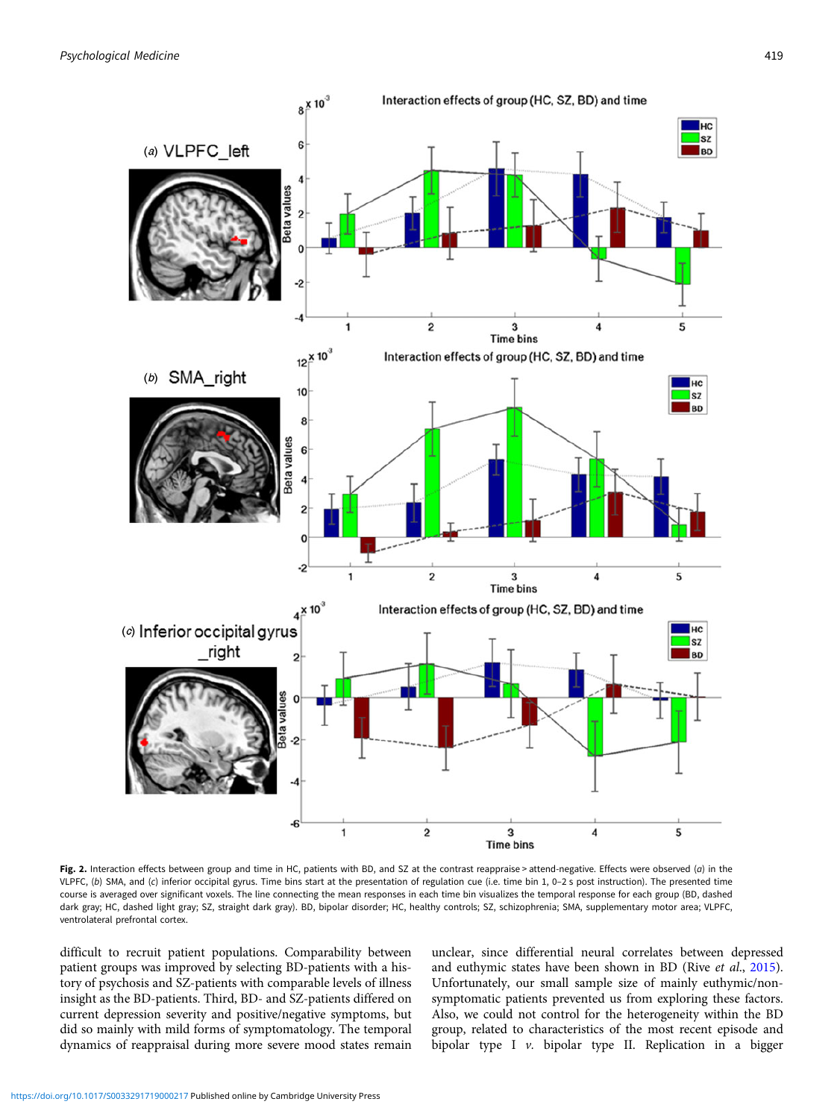<span id="page-6-0"></span>

Fig. 2. Interaction effects between group and time in HC, patients with BD, and SZ at the contrast reappraise > attend-negative. Effects were observed (a) in the VLPFC, (b) SMA, and (c) inferior occipital gyrus. Time bins start at the presentation of regulation cue (i.e. time bin 1, 0–2 s post instruction). The presented time course is averaged over significant voxels. The line connecting the mean responses in each time bin visualizes the temporal response for each group (BD, dashed dark gray; HC, dashed light gray; SZ, straight dark gray). BD, bipolar disorder; HC, healthy controls; SZ, schizophrenia; SMA, supplementary motor area; VLPFC, ventrolateral prefrontal cortex.

difficult to recruit patient populations. Comparability between patient groups was improved by selecting BD-patients with a history of psychosis and SZ-patients with comparable levels of illness insight as the BD-patients. Third, BD- and SZ-patients differed on current depression severity and positive/negative symptoms, but did so mainly with mild forms of symptomatology. The temporal dynamics of reappraisal during more severe mood states remain unclear, since differential neural correlates between depressed and euthymic states have been shown in BD (Rive et al., [2015](#page-8-0)). Unfortunately, our small sample size of mainly euthymic/nonsymptomatic patients prevented us from exploring these factors. Also, we could not control for the heterogeneity within the BD group, related to characteristics of the most recent episode and bipolar type I v. bipolar type II. Replication in a bigger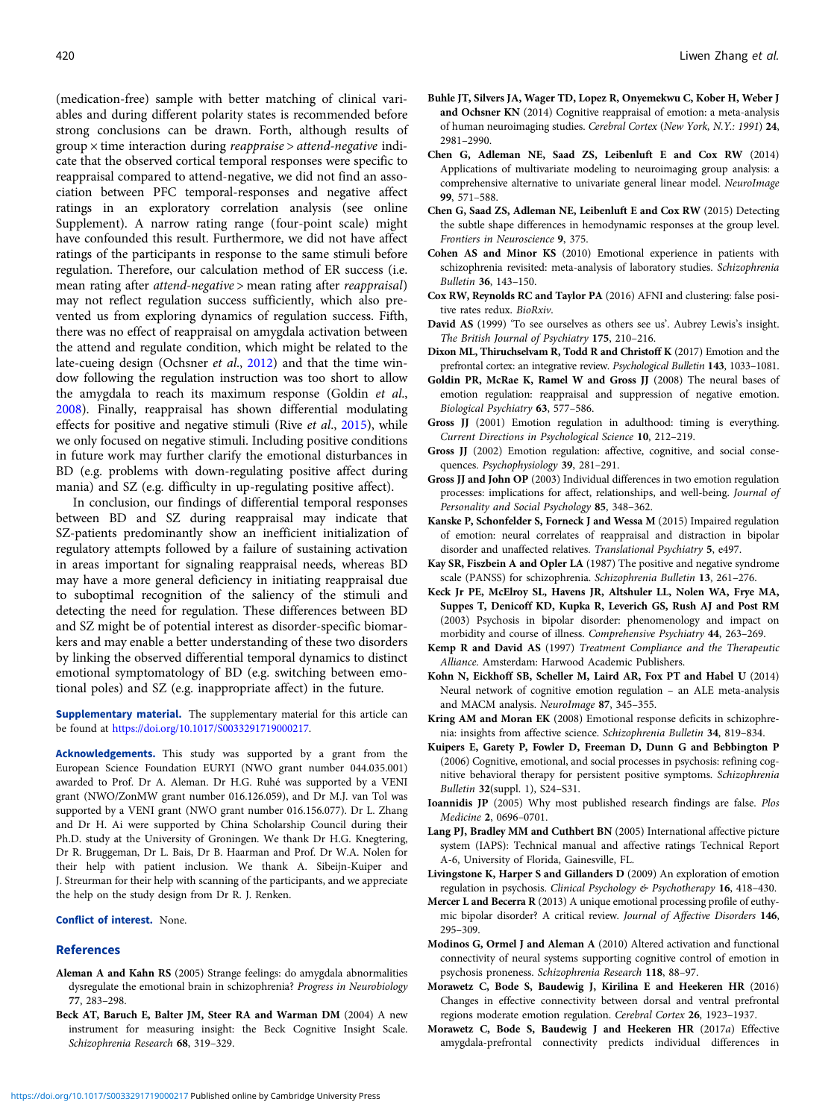<span id="page-7-0"></span>(medication-free) sample with better matching of clinical variables and during different polarity states is recommended before strong conclusions can be drawn. Forth, although results of  $group \times time$  interaction during *reappraise* > attend-negative indicate that the observed cortical temporal responses were specific to reappraisal compared to attend-negative, we did not find an association between PFC temporal-responses and negative affect ratings in an exploratory correlation analysis (see online Supplement). A narrow rating range (four-point scale) might have confounded this result. Furthermore, we did not have affect ratings of the participants in response to the same stimuli before regulation. Therefore, our calculation method of ER success (i.e. mean rating after attend-negative > mean rating after reappraisal) may not reflect regulation success sufficiently, which also prevented us from exploring dynamics of regulation success. Fifth, there was no effect of reappraisal on amygdala activation between the attend and regulate condition, which might be related to the late-cueing design (Ochsner et al., [2012\)](#page-8-0) and that the time window following the regulation instruction was too short to allow the amygdala to reach its maximum response (Goldin et al., 2008). Finally, reappraisal has shown differential modulating effects for positive and negative stimuli (Rive et al., [2015](#page-8-0)), while we only focused on negative stimuli. Including positive conditions in future work may further clarify the emotional disturbances in BD (e.g. problems with down-regulating positive affect during mania) and SZ (e.g. difficulty in up-regulating positive affect).

In conclusion, our findings of differential temporal responses between BD and SZ during reappraisal may indicate that SZ-patients predominantly show an inefficient initialization of regulatory attempts followed by a failure of sustaining activation in areas important for signaling reappraisal needs, whereas BD may have a more general deficiency in initiating reappraisal due to suboptimal recognition of the saliency of the stimuli and detecting the need for regulation. These differences between BD and SZ might be of potential interest as disorder-specific biomarkers and may enable a better understanding of these two disorders by linking the observed differential temporal dynamics to distinct emotional symptomatology of BD (e.g. switching between emotional poles) and SZ (e.g. inappropriate affect) in the future.

Supplementary material. The supplementary material for this article can be found at <https://doi.org/10.1017/S0033291719000217>.

Acknowledgements. This study was supported by a grant from the European Science Foundation EURYI (NWO grant number 044.035.001) awarded to Prof. Dr A. Aleman. Dr H.G. Ruhé was supported by a VENI grant (NWO/ZonMW grant number 016.126.059), and Dr M.J. van Tol was supported by a VENI grant (NWO grant number 016.156.077). Dr L. Zhang and Dr H. Ai were supported by China Scholarship Council during their Ph.D. study at the University of Groningen. We thank Dr H.G. Knegtering, Dr R. Bruggeman, Dr L. Bais, Dr B. Haarman and Prof. Dr W.A. Nolen for their help with patient inclusion. We thank A. Sibeijn-Kuiper and J. Streurman for their help with scanning of the participants, and we appreciate the help on the study design from Dr R. J. Renken.

# Conflict of interest. None.

#### References

- Aleman A and Kahn RS (2005) Strange feelings: do amygdala abnormalities dysregulate the emotional brain in schizophrenia? Progress in Neurobiology 77, 283–298.
- Beck AT, Baruch E, Balter JM, Steer RA and Warman DM (2004) A new instrument for measuring insight: the Beck Cognitive Insight Scale. Schizophrenia Research 68, 319–329.
- Buhle JT, Silvers JA, Wager TD, Lopez R, Onyemekwu C, Kober H, Weber J and Ochsner KN (2014) Cognitive reappraisal of emotion: a meta-analysis of human neuroimaging studies. Cerebral Cortex (New York, N.Y.: 1991) 24, 2981–2990.
- Chen G, Adleman NE, Saad ZS, Leibenluft E and Cox RW (2014) Applications of multivariate modeling to neuroimaging group analysis: a comprehensive alternative to univariate general linear model. NeuroImage 99, 571–588.
- Chen G, Saad ZS, Adleman NE, Leibenluft E and Cox RW (2015) Detecting the subtle shape differences in hemodynamic responses at the group level. Frontiers in Neuroscience 9, 375.
- Cohen AS and Minor KS (2010) Emotional experience in patients with schizophrenia revisited: meta-analysis of laboratory studies. Schizophrenia Bulletin 36, 143–150.
- Cox RW, Reynolds RC and Taylor PA (2016) AFNI and clustering: false positive rates redux. BioRxiv.
- David AS (1999) 'To see ourselves as others see us'. Aubrey Lewis's insight. The British Journal of Psychiatry 175, 210–216.
- Dixon ML, Thiruchselvam R, Todd R and Christoff K (2017) Emotion and the prefrontal cortex: an integrative review. Psychological Bulletin 143, 1033–1081.
- Goldin PR, McRae K, Ramel W and Gross JJ (2008) The neural bases of emotion regulation: reappraisal and suppression of negative emotion. Biological Psychiatry 63, 577–586.
- Gross JJ (2001) Emotion regulation in adulthood: timing is everything. Current Directions in Psychological Science 10, 212–219.
- Gross JJ (2002) Emotion regulation: affective, cognitive, and social consequences. Psychophysiology 39, 281–291.
- Gross JJ and John OP (2003) Individual differences in two emotion regulation processes: implications for affect, relationships, and well-being. Journal of Personality and Social Psychology 85, 348–362.
- Kanske P, Schonfelder S, Forneck J and Wessa M (2015) Impaired regulation of emotion: neural correlates of reappraisal and distraction in bipolar disorder and unaffected relatives. Translational Psychiatry 5, e497.
- Kay SR, Fiszbein A and Opler LA (1987) The positive and negative syndrome scale (PANSS) for schizophrenia. Schizophrenia Bulletin 13, 261–276.
- Keck Jr PE, McElroy SL, Havens JR, Altshuler LL, Nolen WA, Frye MA, Suppes T, Denicoff KD, Kupka R, Leverich GS, Rush AJ and Post RM (2003) Psychosis in bipolar disorder: phenomenology and impact on morbidity and course of illness. Comprehensive Psychiatry 44, 263–269.
- Kemp R and David AS (1997) Treatment Compliance and the Therapeutic Alliance. Amsterdam: Harwood Academic Publishers.
- Kohn N, Eickhoff SB, Scheller M, Laird AR, Fox PT and Habel U (2014) Neural network of cognitive emotion regulation – an ALE meta-analysis and MACM analysis. NeuroImage 87, 345–355.
- Kring AM and Moran EK (2008) Emotional response deficits in schizophrenia: insights from affective science. Schizophrenia Bulletin 34, 819–834.
- Kuipers E, Garety P, Fowler D, Freeman D, Dunn G and Bebbington P (2006) Cognitive, emotional, and social processes in psychosis: refining cognitive behavioral therapy for persistent positive symptoms. Schizophrenia Bulletin 32(suppl. 1), S24–S31.
- Ioannidis JP (2005) Why most published research findings are false. Plos Medicine 2, 0696–0701.
- Lang PJ, Bradley MM and Cuthbert BN (2005) International affective picture system (IAPS): Technical manual and affective ratings Technical Report A-6, University of Florida, Gainesville, FL.
- Livingstone K, Harper S and Gillanders D (2009) An exploration of emotion regulation in psychosis. Clinical Psychology & Psychotherapy 16, 418-430.
- Mercer L and Becerra R (2013) A unique emotional processing profile of euthymic bipolar disorder? A critical review. Journal of Affective Disorders 146, 295–309.
- Modinos G, Ormel J and Aleman A (2010) Altered activation and functional connectivity of neural systems supporting cognitive control of emotion in psychosis proneness. Schizophrenia Research 118, 88–97.
- Morawetz C, Bode S, Baudewig J, Kirilina E and Heekeren HR (2016) Changes in effective connectivity between dorsal and ventral prefrontal regions moderate emotion regulation. Cerebral Cortex 26, 1923–1937.
- Morawetz C, Bode S, Baudewig J and Heekeren HR (2017a) Effective amygdala-prefrontal connectivity predicts individual differences in